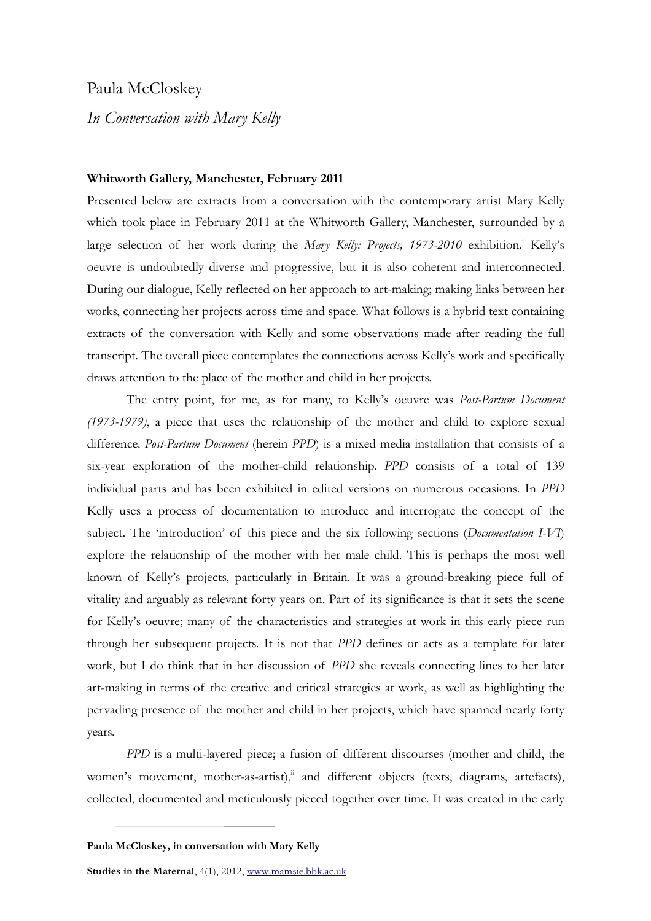## Paula McCloskey

## *In Conversation with Mary Kelly*

## **Whitworth Gallery, Manchester, February 2011**

Presented below are extracts from a conversation with the contemporary artist Mary Kelly which took place in February 2011 at the Whitworth Gallery, Manchester, surrounded by a large selection of her work during the Mary Kelly: Projects, 1973-2010 exhibition.<sup>i</sup> Kelly's oeuvre is undoubtedly diverse and progressive, but it is also coherent and interconnected. During our dialogue, Kelly reflected on her approach to art-making; making links between her works, connecting her projects across time and space. What follows is a hybrid text containing extracts of the conversation with Kelly and some observations made after reading the full transcript. The overall piece contemplates the connections across Kelly's work and specifically draws attention to the place of the mother and child in her projects.

The entry point, for me, as for many, to Kelly's oeuvre was *Post-Partum Document (1973-1979)*, a piece that uses the relationship of the mother and child to explore sexual difference. *Post-Partum Document* (herein *PPD*) is a mixed media installation that consists of a six-year exploration of the mother-child relationship. *PPD* consists of a total of 139 individual parts and has been exhibited in edited versions on numerous occasions. In *PPD* Kelly uses a process of documentation to introduce and interrogate the concept of the subject. The 'introduction' of this piece and the six following sections (*Documentation I-VI*) explore the relationship of the mother with her male child. This is perhaps the most well known of Kelly's projects, particularly in Britain. It was a ground-breaking piece full of vitality and arguably as relevant forty years on. Part of its significance is that it sets the scene for Kelly's oeuvre; many of the characteristics and strategies at work in this early piece run through her subsequent projects. It is not that *PPD* defines or acts as a template for later work, but I do think that in her discussion of *PPD* she reveals connecting lines to her later art-making in terms of the creative and critical strategies at work, as well as highlighting the pervading presence of the mother and child in her projects, which have spanned nearly forty years.

*PPD* is a multi-layered piece; a fusion of different discourses (mother and child, the women's movement, mother-as-artist),<sup>ii</sup> and different objects (texts, diagrams, artefacts), collected, documented and meticulously pieced together over time. It was created in the early

**Studies in the Maternal**, 4(1), 2012, www.mamsie.bbk.ac.uk

**Paula McCloskey, in conversation with Mary Kelly**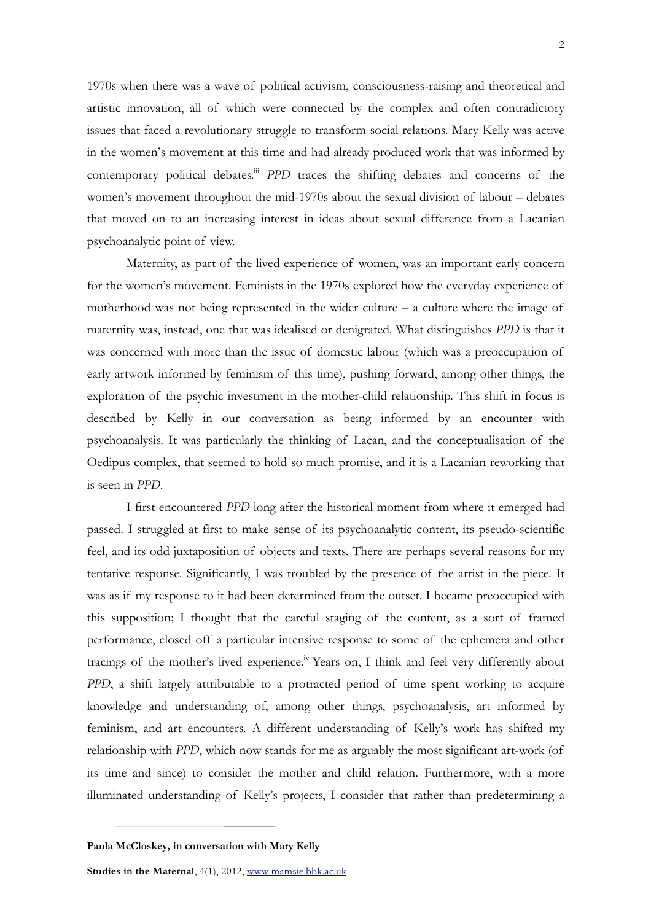1970s when there was a wave of political activism, consciousness-raising and theoretical and artistic innovation, all of which were connected by the complex and often contradictory issues that faced a revolutionary struggle to transform social relations. Mary Kelly was active in the women's movement at this time and had already produced work that was informed by contemporary political debates.<sup>iii</sup> *PPD* traces the shifting debates and concerns of the women's movement throughout the mid-1970s about the sexual division of labour – debates that moved on to an increasing interest in ideas about sexual difference from a Lacanian psychoanalytic point of view.

Maternity, as part of the lived experience of women, was an important early concern for the women's movement. Feminists in the 1970s explored how the everyday experience of motherhood was not being represented in the wider culture – a culture where the image of maternity was, instead, one that was idealised or denigrated. What distinguishes *PPD* is that it was concerned with more than the issue of domestic labour (which was a preoccupation of early artwork informed by feminism of this time), pushing forward, among other things, the exploration of the psychic investment in the mother-child relationship. This shift in focus is described by Kelly in our conversation as being informed by an encounter with psychoanalysis. It was particularly the thinking of Lacan, and the conceptualisation of the Oedipus complex, that seemed to hold so much promise, and it is a Lacanian reworking that is seen in *PPD*.

I first encountered *PPD* long after the historical moment from where it emerged had passed. I struggled at first to make sense of its psychoanalytic content, its pseudo-scientific feel, and its odd juxtaposition of objects and texts. There are perhaps several reasons for my tentative response. Significantly, I was troubled by the presence of the artist in the piece. It was as if my response to it had been determined from the outset. I became preoccupied with this supposition; I thought that the careful staging of the content, as a sort of framed performance, closed off a particular intensive response to some of the ephemera and other tracings of the mother's lived experience.<sup>iv</sup> Years on, I think and feel very differently about *PPD*, a shift largely attributable to a protracted period of time spent working to acquire knowledge and understanding of, among other things, psychoanalysis, art informed by feminism, and art encounters. A different understanding of Kelly's work has shifted my relationship with *PPD*, which now stands for me as arguably the most significant art-work (of its time and since) to consider the mother and child relation. Furthermore, with a more illuminated understanding of Kelly's projects, I consider that rather than predetermining a

**Paula McCloskey, in conversation with Mary Kelly**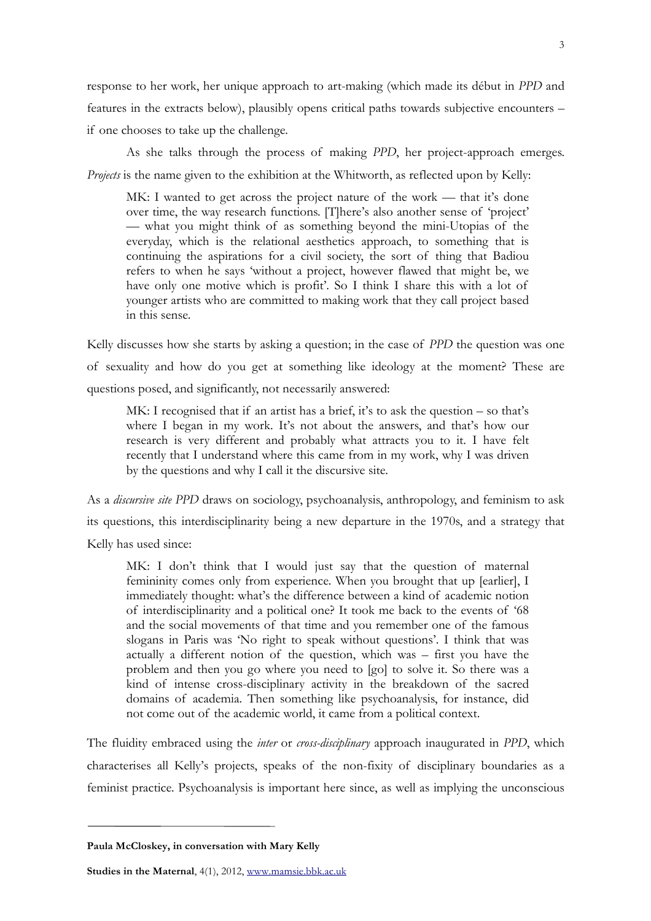response to her work, her unique approach to art-making (which made its début in *PPD* and features in the extracts below), plausibly opens critical paths towards subjective encounters – if one chooses to take up the challenge.

As she talks through the process of making *PPD*, her project-approach emerges. *Projects* is the name given to the exhibition at the Whitworth, as reflected upon by Kelly:

MK: I wanted to get across the project nature of the work — that it's done over time, the way research functions. [T]here's also another sense of 'project' — what you might think of as something beyond the mini-Utopias of the everyday, which is the relational aesthetics approach, to something that is continuing the aspirations for a civil society, the sort of thing that Badiou refers to when he says 'without a project, however flawed that might be, we have only one motive which is profit'. So I think I share this with a lot of younger artists who are committed to making work that they call project based in this sense.

Kelly discusses how she starts by asking a question; in the case of *PPD* the question was one of sexuality and how do you get at something like ideology at the moment? These are questions posed, and significantly, not necessarily answered:

MK: I recognised that if an artist has a brief, it's to ask the question – so that's where I began in my work. It's not about the answers, and that's how our research is very different and probably what attracts you to it. I have felt recently that I understand where this came from in my work, why I was driven by the questions and why I call it the discursive site.

As a *discursive site PPD* draws on sociology, psychoanalysis, anthropology, and feminism to ask its questions, this interdisciplinarity being a new departure in the 1970s, and a strategy that Kelly has used since:

MK: I don't think that I would just say that the question of maternal femininity comes only from experience. When you brought that up [earlier], I immediately thought: what's the difference between a kind of academic notion of interdisciplinarity and a political one? It took me back to the events of '68 and the social movements of that time and you remember one of the famous slogans in Paris was 'No right to speak without questions'. I think that was actually a different notion of the question, which was – first you have the problem and then you go where you need to [go] to solve it. So there was a kind of intense cross-disciplinary activity in the breakdown of the sacred domains of academia. Then something like psychoanalysis, for instance, did not come out of the academic world, it came from a political context.

The fluidity embraced using the *inter* or *cross-disciplinary* approach inaugurated in *PPD*, which characterises all Kelly's projects, speaks of the non-fixity of disciplinary boundaries as a feminist practice. Psychoanalysis is important here since, as well as implying the unconscious

**Paula McCloskey, in conversation with Mary Kelly**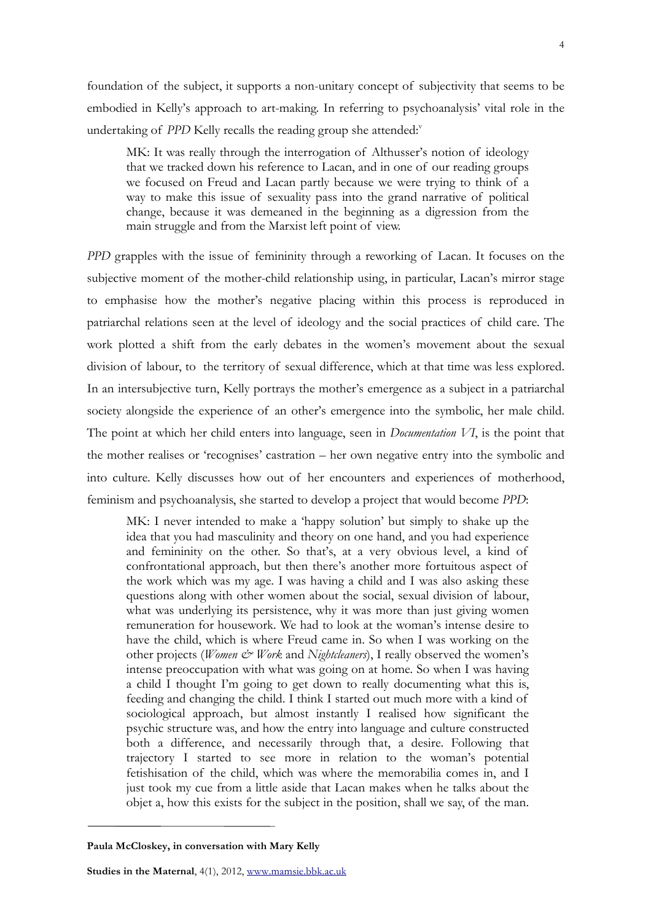foundation of the subject, it supports a non-unitary concept of subjectivity that seems to be embodied in Kelly's approach to art-making. In referring to psychoanalysis' vital role in the undertaking of *PPD* Kelly recalls the reading group she attended:<sup>v</sup>

MK: It was really through the interrogation of Althusser's notion of ideology that we tracked down his reference to Lacan, and in one of our reading groups we focused on Freud and Lacan partly because we were trying to think of a way to make this issue of sexuality pass into the grand narrative of political change, because it was demeaned in the beginning as a digression from the main struggle and from the Marxist left point of view.

*PPD* grapples with the issue of femininity through a reworking of Lacan. It focuses on the subjective moment of the mother-child relationship using, in particular, Lacan's mirror stage to emphasise how the mother's negative placing within this process is reproduced in patriarchal relations seen at the level of ideology and the social practices of child care. The work plotted a shift from the early debates in the women's movement about the sexual division of labour, to the territory of sexual difference, which at that time was less explored. In an intersubjective turn, Kelly portrays the mother's emergence as a subject in a patriarchal society alongside the experience of an other's emergence into the symbolic, her male child. The point at which her child enters into language, seen in *Documentation VI*, is the point that the mother realises or 'recognises' castration – her own negative entry into the symbolic and into culture. Kelly discusses how out of her encounters and experiences of motherhood, feminism and psychoanalysis, she started to develop a project that would become *PPD*:

MK: I never intended to make a 'happy solution' but simply to shake up the idea that you had masculinity and theory on one hand, and you had experience and femininity on the other. So that's, at a very obvious level, a kind of confrontational approach, but then there's another more fortuitous aspect of the work which was my age. I was having a child and I was also asking these questions along with other women about the social, sexual division of labour, what was underlying its persistence, why it was more than just giving women remuneration for housework. We had to look at the woman's intense desire to have the child, which is where Freud came in. So when I was working on the other projects (*Women & Work* and *Nightcleaners*), I really observed the women's intense preoccupation with what was going on at home. So when I was having a child I thought I'm going to get down to really documenting what this is, feeding and changing the child. I think I started out much more with a kind of sociological approach, but almost instantly I realised how significant the psychic structure was, and how the entry into language and culture constructed both a difference, and necessarily through that, a desire. Following that trajectory I started to see more in relation to the woman's potential fetishisation of the child, which was where the memorabilia comes in, and I just took my cue from a little aside that Lacan makes when he talks about the objet a, how this exists for the subject in the position, shall we say, of the man.

**Paula McCloskey, in conversation with Mary Kelly**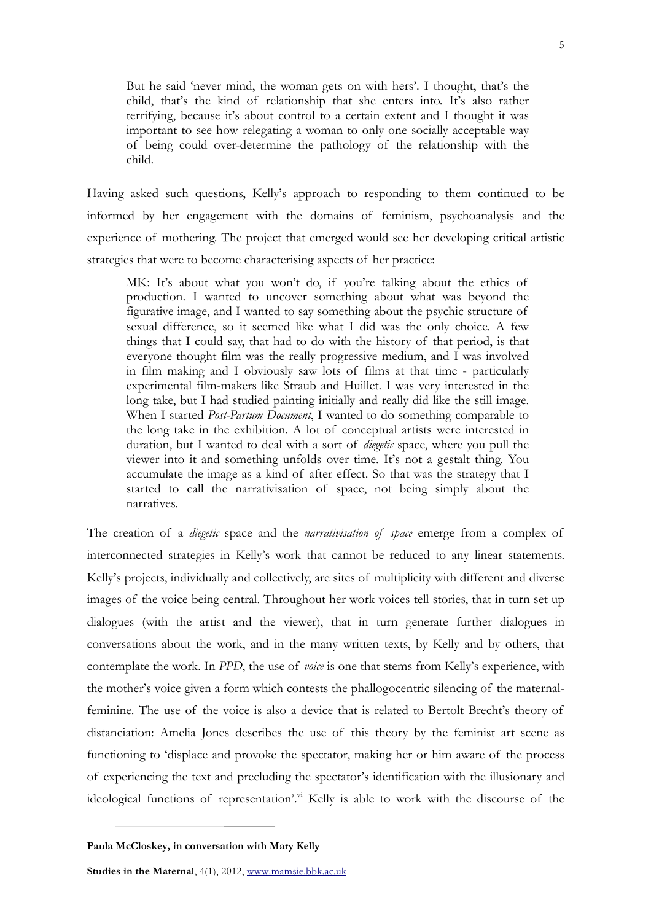But he said 'never mind, the woman gets on with hers'. I thought, that's the child, that's the kind of relationship that she enters into. It's also rather terrifying, because it's about control to a certain extent and I thought it was important to see how relegating a woman to only one socially acceptable way of being could over-determine the pathology of the relationship with the child.

Having asked such questions, Kelly's approach to responding to them continued to be informed by her engagement with the domains of feminism, psychoanalysis and the experience of mothering. The project that emerged would see her developing critical artistic strategies that were to become characterising aspects of her practice:

MK: It's about what you won't do, if you're talking about the ethics of production. I wanted to uncover something about what was beyond the figurative image, and I wanted to say something about the psychic structure of sexual difference, so it seemed like what I did was the only choice. A few things that I could say, that had to do with the history of that period, is that everyone thought film was the really progressive medium, and I was involved in film making and I obviously saw lots of films at that time - particularly experimental film-makers like Straub and Huillet. I was very interested in the long take, but I had studied painting initially and really did like the still image. When I started *Post-Partum Document*, I wanted to do something comparable to the long take in the exhibition. A lot of conceptual artists were interested in duration, but I wanted to deal with a sort of *diegetic* space, where you pull the viewer into it and something unfolds over time. It's not a gestalt thing. You accumulate the image as a kind of after effect. So that was the strategy that I started to call the narrativisation of space, not being simply about the narratives.

The creation of a *diegetic* space and the *narrativisation of space* emerge from a complex of interconnected strategies in Kelly's work that cannot be reduced to any linear statements. Kelly's projects, individually and collectively, are sites of multiplicity with different and diverse images of the voice being central. Throughout her work voices tell stories, that in turn set up dialogues (with the artist and the viewer), that in turn generate further dialogues in conversations about the work, and in the many written texts, by Kelly and by others, that contemplate the work. In *PPD*, the use of *voice* is one that stems from Kelly's experience, with the mother's voice given a form which contests the phallogocentric silencing of the maternalfeminine. The use of the voice is also a device that is related to Bertolt Brecht's theory of distanciation: Amelia Jones describes the use of this theory by the feminist art scene as functioning to 'displace and provoke the spectator, making her or him aware of the process of experiencing the text and precluding the spectator's identification with the illusionary and ideological functions of representation'.<sup>vi</sup> Kelly is able to work with the discourse of the

**Paula McCloskey, in conversation with Mary Kelly**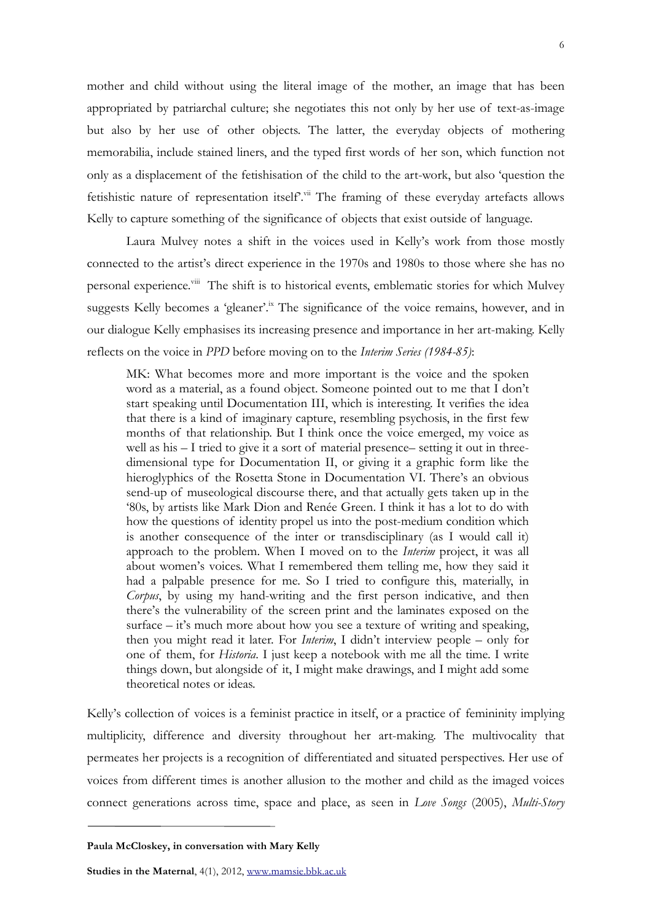mother and child without using the literal image of the mother, an image that has been appropriated by patriarchal culture; she negotiates this not only by her use of text-as-image but also by her use of other objects. The latter, the everyday objects of mothering memorabilia, include stained liners, and the typed first words of her son, which function not only as a displacement of the fetishisation of the child to the art-work, but also 'question the fetishistic nature of representation itself.<sup>vii</sup> The framing of these everyday artefacts allows Kelly to capture something of the significance of objects that exist outside of language.

Laura Mulvey notes a shift in the voices used in Kelly's work from those mostly connected to the artist's direct experience in the 1970s and 1980s to those where she has no personal experience.<sup>viii</sup> The shift is to historical events, emblematic stories for which Mulvey suggests Kelly becomes a 'gleaner'.<sup>ix</sup> The significance of the voice remains, however, and in our dialogue Kelly emphasises its increasing presence and importance in her art-making. Kelly reflects on the voice in *PPD* before moving on to the *Interim Series (1984-85)*:

MK: What becomes more and more important is the voice and the spoken word as a material, as a found object. Someone pointed out to me that I don't start speaking until Documentation III, which is interesting. It verifies the idea that there is a kind of imaginary capture, resembling psychosis, in the first few months of that relationship. But I think once the voice emerged, my voice as well as his – I tried to give it a sort of material presence– setting it out in threedimensional type for Documentation II, or giving it a graphic form like the hieroglyphics of the Rosetta Stone in Documentation VI. There's an obvious send-up of museological discourse there, and that actually gets taken up in the '80s, by artists like Mark Dion and Renée Green. I think it has a lot to do with how the questions of identity propel us into the post-medium condition which is another consequence of the inter or transdisciplinary (as I would call it) approach to the problem. When I moved on to the *Interim* project, it was all about women's voices. What I remembered them telling me, how they said it had a palpable presence for me. So I tried to configure this, materially, in *Corpus*, by using my hand-writing and the first person indicative, and then there's the vulnerability of the screen print and the laminates exposed on the surface – it's much more about how you see a texture of writing and speaking, then you might read it later. For *Interim*, I didn't interview people – only for one of them, for *Historia*. I just keep a notebook with me all the time. I write things down, but alongside of it, I might make drawings, and I might add some theoretical notes or ideas.

Kelly's collection of voices is a feminist practice in itself, or a practice of femininity implying multiplicity, difference and diversity throughout her art-making. The multivocality that permeates her projects is a recognition of differentiated and situated perspectives. Her use of voices from different times is another allusion to the mother and child as the imaged voices connect generations across time, space and place, as seen in *Love Songs* (2005), *Multi-Story* 

**Paula McCloskey, in conversation with Mary Kelly**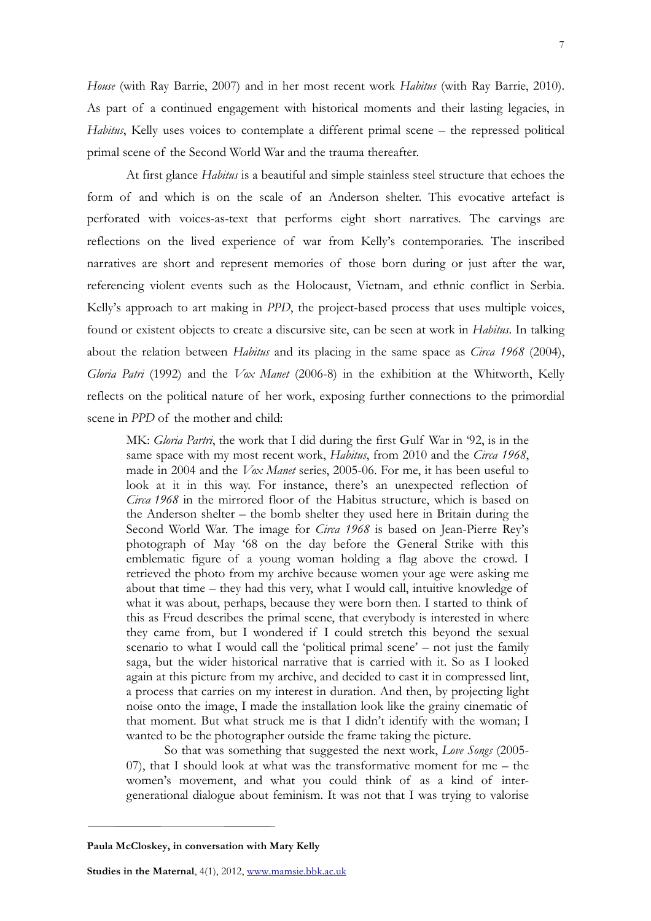*House* (with Ray Barrie, 2007) and in her most recent work *Habitus* (with Ray Barrie, 2010). As part of a continued engagement with historical moments and their lasting legacies, in *Habitus*, Kelly uses voices to contemplate a different primal scene – the repressed political primal scene of the Second World War and the trauma thereafter.

At first glance *Habitus* is a beautiful and simple stainless steel structure that echoes the form of and which is on the scale of an Anderson shelter. This evocative artefact is perforated with voices-as-text that performs eight short narratives. The carvings are reflections on the lived experience of war from Kelly's contemporaries. The inscribed narratives are short and represent memories of those born during or just after the war, referencing violent events such as the Holocaust, Vietnam, and ethnic conflict in Serbia. Kelly's approach to art making in *PPD*, the project-based process that uses multiple voices, found or existent objects to create a discursive site, can be seen at work in *Habitus*. In talking about the relation between *Habitus* and its placing in the same space as *Circa 1968* (2004), *Gloria Patri* (1992) and the *Vox Manet* (2006-8) in the exhibition at the Whitworth, Kelly reflects on the political nature of her work, exposing further connections to the primordial scene in *PPD* of the mother and child:

MK: *Gloria Partri*, the work that I did during the first Gulf War in '92, is in the same space with my most recent work, *Habitus*, from 2010 and the *Circa 1968*, made in 2004 and the *Vox Manet* series, 2005-06. For me, it has been useful to look at it in this way. For instance, there's an unexpected reflection of *Circa 1968* in the mirrored floor of the Habitus structure, which is based on the Anderson shelter – the bomb shelter they used here in Britain during the Second World War. The image for *Circa 1968* is based on Jean-Pierre Rey's photograph of May '68 on the day before the General Strike with this emblematic figure of a young woman holding a flag above the crowd. I retrieved the photo from my archive because women your age were asking me about that time – they had this very, what I would call, intuitive knowledge of what it was about, perhaps, because they were born then. I started to think of this as Freud describes the primal scene, that everybody is interested in where they came from, but I wondered if I could stretch this beyond the sexual scenario to what I would call the 'political primal scene' – not just the family saga, but the wider historical narrative that is carried with it. So as I looked again at this picture from my archive, and decided to cast it in compressed lint, a process that carries on my interest in duration. And then, by projecting light noise onto the image, I made the installation look like the grainy cinematic of that moment. But what struck me is that I didn't identify with the woman; I wanted to be the photographer outside the frame taking the picture.

So that was something that suggested the next work, *Love Songs* (2005- 07), that I should look at what was the transformative moment for me – the women's movement, and what you could think of as a kind of intergenerational dialogue about feminism. It was not that I was trying to valorise

**Paula McCloskey, in conversation with Mary Kelly**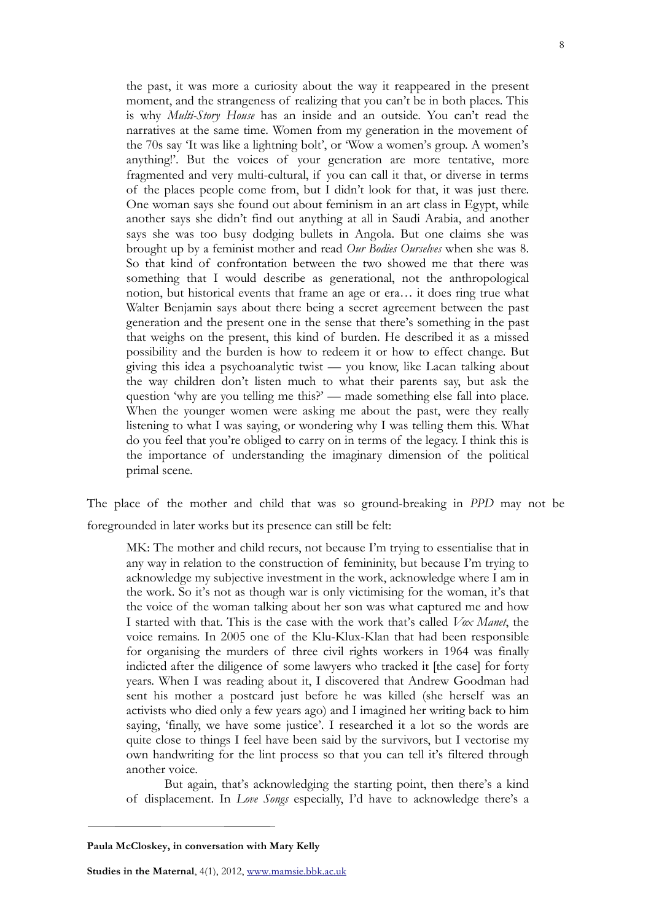the past, it was more a curiosity about the way it reappeared in the present moment, and the strangeness of realizing that you can't be in both places. This is why *Multi-Story House* has an inside and an outside. You can't read the narratives at the same time. Women from my generation in the movement of the 70s say 'It was like a lightning bolt', or 'Wow a women's group. A women's anything!'. But the voices of your generation are more tentative, more fragmented and very multi-cultural, if you can call it that, or diverse in terms of the places people come from, but I didn't look for that, it was just there. One woman says she found out about feminism in an art class in Egypt, while another says she didn't find out anything at all in Saudi Arabia, and another says she was too busy dodging bullets in Angola. But one claims she was brought up by a feminist mother and read *Our Bodies Ourselves* when she was 8. So that kind of confrontation between the two showed me that there was something that I would describe as generational, not the anthropological notion, but historical events that frame an age or era… it does ring true what Walter Benjamin says about there being a secret agreement between the past generation and the present one in the sense that there's something in the past that weighs on the present, this kind of burden. He described it as a missed possibility and the burden is how to redeem it or how to effect change. But giving this idea a psychoanalytic twist — you know, like Lacan talking about the way children don't listen much to what their parents say, but ask the question 'why are you telling me this?' — made something else fall into place. When the younger women were asking me about the past, were they really listening to what I was saying, or wondering why I was telling them this. What do you feel that you're obliged to carry on in terms of the legacy. I think this is the importance of understanding the imaginary dimension of the political primal scene.

The place of the mother and child that was so ground-breaking in *PPD* may not be foregrounded in later works but its presence can still be felt:

MK: The mother and child recurs, not because I'm trying to essentialise that in any way in relation to the construction of femininity, but because I'm trying to acknowledge my subjective investment in the work, acknowledge where I am in the work. So it's not as though war is only victimising for the woman, it's that the voice of the woman talking about her son was what captured me and how I started with that. This is the case with the work that's called *Vox Manet*, the voice remains. In 2005 one of the Klu-Klux-Klan that had been responsible for organising the murders of three civil rights workers in 1964 was finally indicted after the diligence of some lawyers who tracked it [the case] for forty years. When I was reading about it, I discovered that Andrew Goodman had sent his mother a postcard just before he was killed (she herself was an activists who died only a few years ago) and I imagined her writing back to him saying, 'finally, we have some justice'. I researched it a lot so the words are quite close to things I feel have been said by the survivors, but I vectorise my own handwriting for the lint process so that you can tell it's filtered through another voice.

But again, that's acknowledging the starting point, then there's a kind of displacement. In *Love Songs* especially, I'd have to acknowledge there's a

**Paula McCloskey, in conversation with Mary Kelly**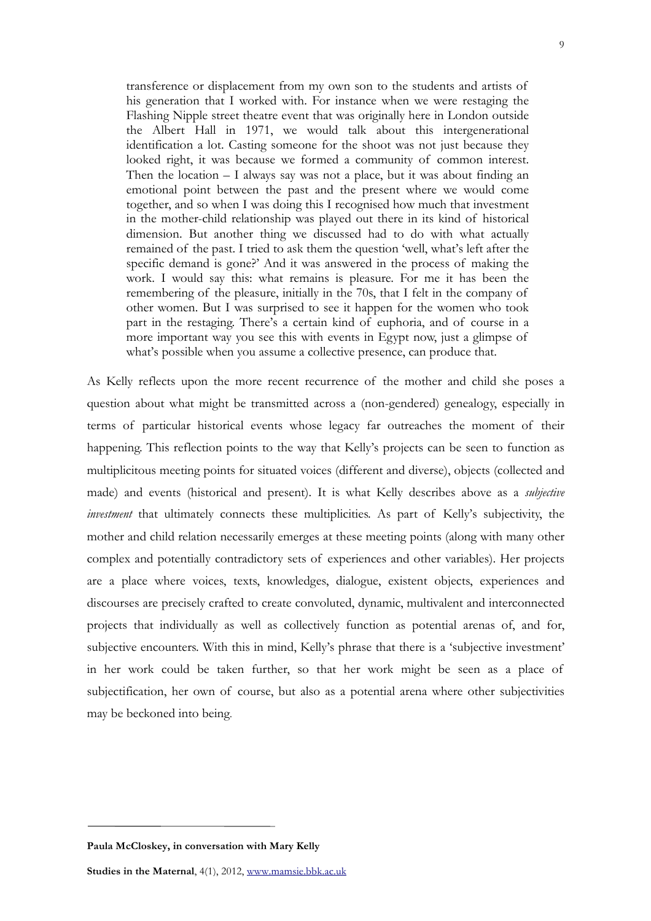transference or displacement from my own son to the students and artists of his generation that I worked with. For instance when we were restaging the Flashing Nipple street theatre event that was originally here in London outside the Albert Hall in 1971, we would talk about this intergenerational identification a lot. Casting someone for the shoot was not just because they looked right, it was because we formed a community of common interest. Then the location – I always say was not a place, but it was about finding an emotional point between the past and the present where we would come together, and so when I was doing this I recognised how much that investment in the mother-child relationship was played out there in its kind of historical dimension. But another thing we discussed had to do with what actually remained of the past. I tried to ask them the question 'well, what's left after the specific demand is gone?' And it was answered in the process of making the work. I would say this: what remains is pleasure. For me it has been the remembering of the pleasure, initially in the 70s, that I felt in the company of other women. But I was surprised to see it happen for the women who took part in the restaging. There's a certain kind of euphoria, and of course in a more important way you see this with events in Egypt now, just a glimpse of what's possible when you assume a collective presence, can produce that.

As Kelly reflects upon the more recent recurrence of the mother and child she poses a question about what might be transmitted across a (non-gendered) genealogy, especially in terms of particular historical events whose legacy far outreaches the moment of their happening. This reflection points to the way that Kelly's projects can be seen to function as multiplicitous meeting points for situated voices (different and diverse), objects (collected and made) and events (historical and present). It is what Kelly describes above as a *subjective investment* that ultimately connects these multiplicities. As part of Kelly's subjectivity, the mother and child relation necessarily emerges at these meeting points (along with many other complex and potentially contradictory sets of experiences and other variables). Her projects are a place where voices, texts, knowledges, dialogue, existent objects, experiences and discourses are precisely crafted to create convoluted, dynamic, multivalent and interconnected projects that individually as well as collectively function as potential arenas of, and for, subjective encounters. With this in mind, Kelly's phrase that there is a 'subjective investment' in her work could be taken further, so that her work might be seen as a place of subjectification, her own of course, but also as a potential arena where other subjectivities may be beckoned into being.